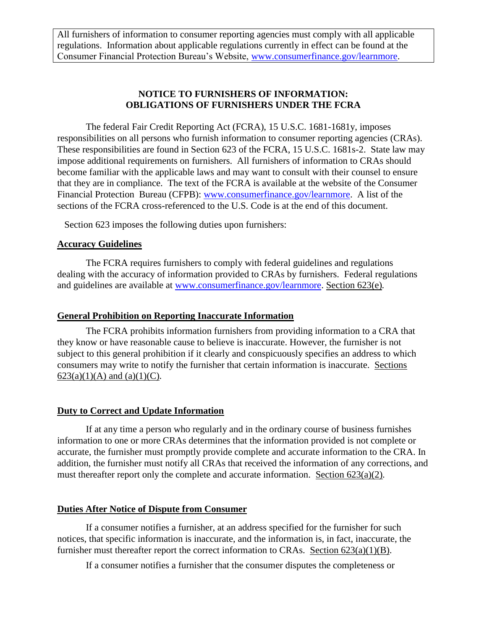All furnishers of information to consumer reporting agencies must comply with all applicable regulations. Information about applicable regulations currently in effect can be found at the Consumer Financial Protection Bureau's Website, www.consumerfinance.gov/learnmore.

# **NOTICE TO FURNISHERS OF INFORMATION: OBLIGATIONS OF FURNISHERS UNDER THE FCRA**

The federal Fair Credit Reporting Act (FCRA), 15 U.S.C. 1681-1681y, imposes responsibilities on all persons who furnish information to consumer reporting agencies (CRAs). These responsibilities are found in Section 623 of the FCRA, 15 U.S.C. 1681s-2. State law may impose additional requirements on furnishers. All furnishers of information to CRAs should become familiar with the applicable laws and may want to consult with their counsel to ensure that they are in compliance. The text of the FCRA is available at the website of the Consumer Financial Protection Bureau (CFPB): [www.consumerfinance.gov/learnmore.](http://www.consumerfinance.gov/learnmore) A list of the sections of the FCRA cross-referenced to the U.S. Code is at the end of this document.

Section 623 imposes the following duties upon furnishers:

### **Accuracy Guidelines**

The FCRA requires furnishers to comply with federal guidelines and regulations dealing with the accuracy of information provided to CRAs by furnishers. Federal regulations and guidelines are available at [www.consumerfinance.gov/learnmore.](http://www.consumerfinance.gov/learnmore) Section 623(e)*.* 

### **General Prohibition on Reporting Inaccurate Information**

The FCRA prohibits information furnishers from providing information to a CRA that they know or have reasonable cause to believe is inaccurate. However, the furnisher is not subject to this general prohibition if it clearly and conspicuously specifies an address to which consumers may write to notify the furnisher that certain information is inaccurate. Sections  $623(a)(1)(A)$  and  $(a)(1)(C)$ .

### **Duty to Correct and Update Information**

If at any time a person who regularly and in the ordinary course of business furnishes information to one or more CRAs determines that the information provided is not complete or accurate, the furnisher must promptly provide complete and accurate information to the CRA. In addition, the furnisher must notify all CRAs that received the information of any corrections, and must thereafter report only the complete and accurate information. Section 623(a)(2)*.* 

### **Duties After Notice of Dispute from Consumer**

If a consumer notifies a furnisher, at an address specified for the furnisher for such notices, that specific information is inaccurate, and the information is, in fact, inaccurate, the furnisher must thereafter report the correct information to CRAs. Section  $623(a)(1)(B)$ .

If a consumer notifies a furnisher that the consumer disputes the completeness or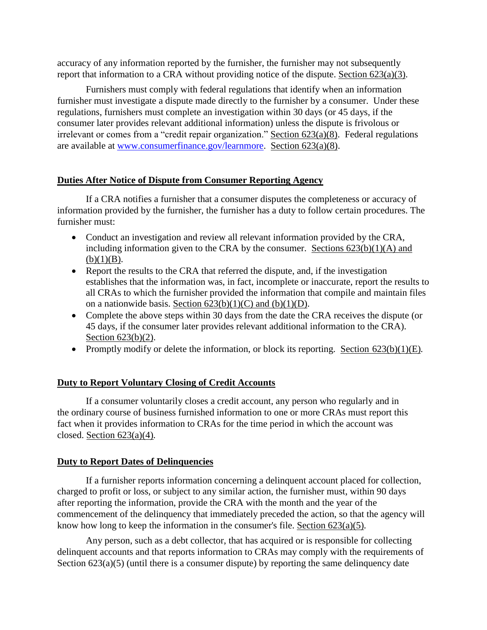accuracy of any information reported by the furnisher, the furnisher may not subsequently report that information to a CRA without providing notice of the dispute. Section  $623(a)(3)$ .

Furnishers must comply with federal regulations that identify when an information furnisher must investigate a dispute made directly to the furnisher by a consumer. Under these regulations, furnishers must complete an investigation within 30 days (or 45 days, if the consumer later provides relevant additional information) unless the dispute is frivolous or irrelevant or comes from a "credit repair organization." Section 623(a)(8). Federal regulations are available at [www.consumerfinance.gov/learnmore.](http://www.consumerfinance.gov/learnmore) Section 623(a)(8).

## **Duties After Notice of Dispute from Consumer Reporting Agency**

If a CRA notifies a furnisher that a consumer disputes the completeness or accuracy of information provided by the furnisher, the furnisher has a duty to follow certain procedures. The furnisher must:

- Conduct an investigation and review all relevant information provided by the CRA, including information given to the CRA by the consumer. Sections  $623(b)(1)(A)$  and  $(b)(1)(B)$ .
- Report the results to the CRA that referred the dispute, and, if the investigation establishes that the information was, in fact, incomplete or inaccurate, report the results to all CRAs to which the furnisher provided the information that compile and maintain files on a nationwide basis. Section  $623(b)(1)(C)$  and  $(b)(1)(D)$ .
- Complete the above steps within 30 days from the date the CRA receives the dispute (or 45 days, if the consumer later provides relevant additional information to the CRA). Section 623(b)(2).
- Promptly modify or delete the information, or block its reporting. Section 623(b)(1)(E).

# **Duty to Report Voluntary Closing of Credit Accounts**

If a consumer voluntarily closes a credit account, any person who regularly and in the ordinary course of business furnished information to one or more CRAs must report this fact when it provides information to CRAs for the time period in which the account was closed. Section 623(a)(4)*.* 

# **Duty to Report Dates of Delinquencies**

If a furnisher reports information concerning a delinquent account placed for collection, charged to profit or loss, or subject to any similar action, the furnisher must, within 90 days after reporting the information, provide the CRA with the month and the year of the commencement of the delinquency that immediately preceded the action, so that the agency will know how long to keep the information in the consumer's file. Section 623(a)(5)*.* 

Any person, such as a debt collector, that has acquired or is responsible for collecting delinquent accounts and that reports information to CRAs may comply with the requirements of Section 623(a)(5) (until there is a consumer dispute) by reporting the same delinquency date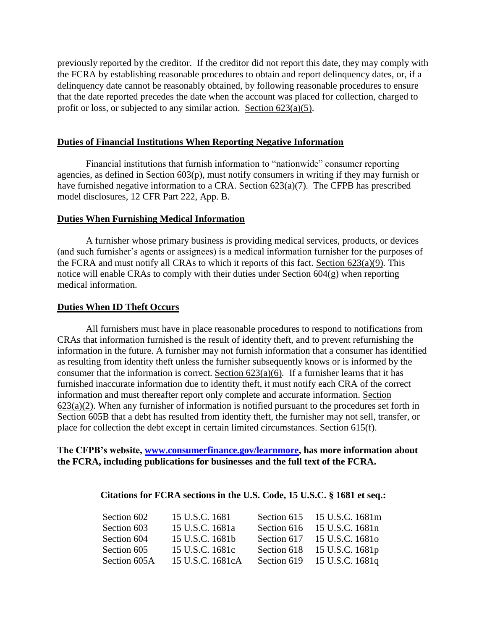previously reported by the creditor. If the creditor did not report this date, they may comply with the FCRA by establishing reasonable procedures to obtain and report delinquency dates, or, if a delinquency date cannot be reasonably obtained, by following reasonable procedures to ensure that the date reported precedes the date when the account was placed for collection, charged to profit or loss, or subjected to any similar action. Section 623(a)(5).

### **Duties of Financial Institutions When Reporting Negative Information**

Financial institutions that furnish information to "nationwide" consumer reporting agencies, as defined in Section 603(p), must notify consumers in writing if they may furnish or have furnished negative information to a CRA. Section 623(a)(7)*.* The CFPB has prescribed model disclosures, 12 CFR Part 222, App. B.

### **Duties When Furnishing Medical Information**

A furnisher whose primary business is providing medical services, products, or devices (and such furnisher's agents or assignees) is a medical information furnisher for the purposes of the FCRA and must notify all CRAs to which it reports of this fact. Section 623(a)(9)*.* This notice will enable CRAs to comply with their duties under Section 604(g) when reporting medical information.

#### **Duties When ID Theft Occurs**

All furnishers must have in place reasonable procedures to respond to notifications from CRAs that information furnished is the result of identity theft, and to prevent refurnishing the information in the future. A furnisher may not furnish information that a consumer has identified as resulting from identity theft unless the furnisher subsequently knows or is informed by the consumer that the information is correct. Section 623(a)(6)*.* If a furnisher learns that it has furnished inaccurate information due to identity theft, it must notify each CRA of the correct information and must thereafter report only complete and accurate information. Section  $623(a)(2)$ . When any furnisher of information is notified pursuant to the procedures set forth in Section 605B that a debt has resulted from identity theft, the furnisher may not sell, transfer, or place for collection the debt except in certain limited circumstances. Section 615(f).

### **The CFPB's website, [www.consumerfinance.gov/learnmore,](http://www.consumerfinance.gov/learnmore) has more information about the FCRA, including publications for businesses and the full text of the FCRA.**

### **Citations for FCRA sections in the U.S. Code, 15 U.S.C. § 1681 et seq.:**

| Section 602  | 15 U.S.C. 1681   | Section 615 15 U.S.C. 1681m |
|--------------|------------------|-----------------------------|
| Section 603  | 15 U.S.C. 1681a  | Section 616 15 U.S.C. 1681n |
| Section 604  | 15 U.S.C. 1681b  | Section 617 15 U.S.C. 16810 |
| Section 605  | 15 U.S.C. 1681c  | Section 618 15 U.S.C. 1681p |
| Section 605A | 15 U.S.C. 1681cA | Section 619 15 U.S.C. 1681q |